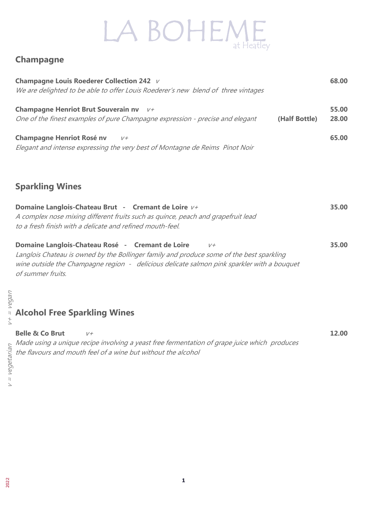# LA BOHEME

#### **Champagne**

| <b>Champagne Louis Roederer Collection 242</b> V<br>We are delighted to be able to offer Louis Roederer's new blend of three vintages |               | 68.00          |
|---------------------------------------------------------------------------------------------------------------------------------------|---------------|----------------|
| <b>Champagne Henriot Brut Souverain nv</b><br>$V +$<br>One of the finest examples of pure Champagne expression - precise and elegant  | (Half Bottle) | 55.00<br>28.00 |
| <b>Champagne Henriot Rosé nv</b><br>$V +$<br>Elegant and intense expressing the very best of Montagne de Reims Pinot Noir             |               |                |

#### Sparkling Wines

| Domaine Langlois-Chateau Brut - Cremant de Loire $V^+$                           | 35.00 |
|----------------------------------------------------------------------------------|-------|
| A complex nose mixing different fruits such as quince, peach and grapefruit lead |       |
| to a fresh finish with a delicate and refined mouth-feel.                        |       |
|                                                                                  |       |
| Domaine Langlois-Chateau Rosé - Cremant de Loire<br>$V +$                        | 35.00 |

Langlois Chateau is owned by the Bollinger family and produce some of the best sparkling wine outside the Champagne region - delicious delicate salmon pink sparkler with a bouquet of summer fruits.

# န္လ<br>စိုလ္ခ်ဳပ္<br>၂ **Alcohol Free Sparkling Wines**

| <b>Belle &amp; Co Brut</b> |                                                                                              | 12.00 |
|----------------------------|----------------------------------------------------------------------------------------------|-------|
|                            | Made using a unique recipe involving a yeast free fermentation of grape juice which produces |       |
|                            | the flavours and mouth feel of a wine but without the alcohol                                |       |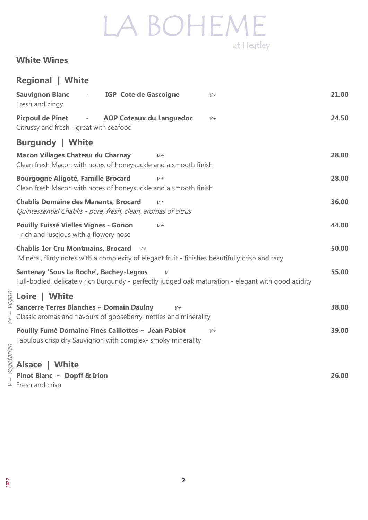#### White Wines

|                  | <b>Regional   White</b>                                                                                                                               |       |
|------------------|-------------------------------------------------------------------------------------------------------------------------------------------------------|-------|
|                  | <b>Sauvignon Blanc</b><br><b>IGP Cote de Gascoigne</b><br>$\overline{\phantom{a}}$<br>$V +$<br>Fresh and zingy                                        | 21.00 |
|                  | <b>Picpoul de Pinet</b><br><b>AOP Coteaux du Languedoc</b><br>$\sim 100$ km s $^{-1}$<br>$V +$<br>Citrussy and fresh - great with seafood             | 24.50 |
|                  | <b>Burgundy   White</b>                                                                                                                               |       |
|                  | <b>Macon Villages Chateau du Charnay</b><br>$V +$<br>Clean fresh Macon with notes of honeysuckle and a smooth finish                                  | 28.00 |
|                  | <b>Bourgogne Aligoté, Famille Brocard</b><br>$V +$<br>Clean fresh Macon with notes of honeysuckle and a smooth finish                                 | 28.00 |
|                  | <b>Chablis Domaine des Manants, Brocard</b><br>$V +$<br>Quintessential Chablis - pure, fresh, clean, aromas of citrus                                 | 36.00 |
|                  | <b>Pouilly Fuissé Vielles Vignes - Gonon</b><br>$V +$<br>- rich and luscious with a flowery nose                                                      | 44.00 |
|                  | <b>Chablis 1er Cru Montmains, Brocard</b><br>$V +$<br>Mineral, flinty notes with a complexity of elegant fruit - finishes beautifully crisp and racy  | 50.00 |
|                  | <b>Santenay 'Sous La Roche', Bachey-Legros</b><br>Full-bodied, delicately rich Burgundy - perfectly judged oak maturation - elegant with good acidity | 55.00 |
|                  | Loire   White                                                                                                                                         |       |
| $=$ vegar<br>$+$ | Sancerre Terres Blanches ~ Domain Daulny<br>$V +$<br>Classic aromas and flavours of gooseberry, nettles and minerality                                | 38.00 |
|                  | Pouilly Fumé Domaine Fines Caillottes ~ Jean Pabiot<br>$V +$                                                                                          | 39.00 |
| vegetarian       | Fabulous crisp dry Sauvignon with complex- smoky minerality                                                                                           |       |
|                  | <b>Alsace   White</b>                                                                                                                                 |       |
|                  | Pinot Blanc ~ Dopff & Irion                                                                                                                           | 26.00 |
| $\geq$           | Fresh and crisp                                                                                                                                       |       |

Fresh and crisp

 $V+ = Veqqan$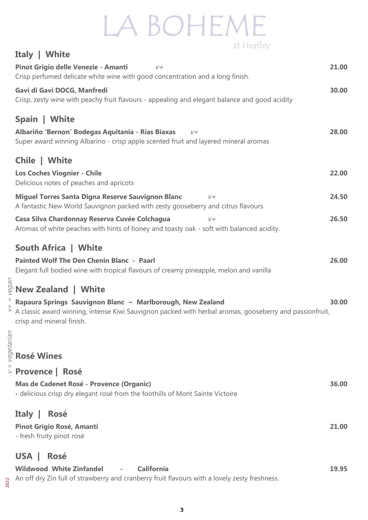|            | <b>Italy   White</b>                                                                                                                                  |       |
|------------|-------------------------------------------------------------------------------------------------------------------------------------------------------|-------|
|            | Pinot Grigio delle Venezie - Amanti<br>$V +$                                                                                                          | 21.00 |
|            | Crisp perfumed delicate white wine with good concentration and a long finish.                                                                         |       |
|            | Gavi di Gavi DOCG, Manfredi                                                                                                                           | 30.00 |
|            | Crisp, zesty wine with peachy fruit flavours - appealing and elegant balance and good acidity                                                         |       |
|            |                                                                                                                                                       |       |
|            | Spain   White                                                                                                                                         |       |
|            | Albariño 'Bernon' Bodegas Aquitania - Rias Biaxas<br>$V +$                                                                                            | 28.00 |
|            | Super award winning Albarino - crisp apple scented fruit and layered mineral aromas                                                                   |       |
|            | Chile   White                                                                                                                                         |       |
|            | <b>Los Coches Viognier - Chile</b>                                                                                                                    | 22.00 |
|            | Delicious notes of peaches and apricots                                                                                                               |       |
|            | <b>Miguel Torres Santa Digna Reserve Sauvignon Blanc</b><br>$V +$                                                                                     | 24.50 |
|            | A fantastic New World Sauvignon packed with zesty gooseberry and citrus flavours.                                                                     |       |
|            | Casa Silva Chardonnay Reserva Cuvée Colchagua<br>$V +$                                                                                                | 26.50 |
|            | Aromas of white peaches with hints of honey and toasty oak - soft with balanced acidity.                                                              |       |
|            |                                                                                                                                                       |       |
|            | <b>South Africa   White</b>                                                                                                                           |       |
|            | <b>Painted Wolf The Den Chenin Blanc - Paarl</b>                                                                                                      | 26.00 |
|            | Elegant full bodied wine with tropical flavours of creamy pineapple, melon and vanilla                                                                |       |
|            | ႜ <sub>ဇ</sub><br><sup>ဇွ</sup> New Zealand   White                                                                                                   |       |
|            | Rapaura Springs Sauvignon Blanc ~ Marlborough, New Zealand                                                                                            | 30.00 |
|            | A classic award winning, intense Kiwi Sauvignon packed with herbal aromas, gooseberry and passionfruit,                                               |       |
|            | crisp and mineral finish.                                                                                                                             |       |
|            |                                                                                                                                                       |       |
|            |                                                                                                                                                       |       |
| vegetarian | <b>Rosé Wines</b>                                                                                                                                     |       |
|            | > Provence   Rosé                                                                                                                                     |       |
|            | Mas de Cadenet Rosé - Provence (Organic)                                                                                                              | 36.00 |
|            | - delicious crisp dry elegant rosé from the foothills of Mont Sainte Victoire                                                                         |       |
|            |                                                                                                                                                       |       |
|            | Italy  <br><b>Rosé</b>                                                                                                                                |       |
|            | <b>Pinot Grigio Rosé, Amanti</b>                                                                                                                      | 21.00 |
|            | - fresh fruity pinot rosé                                                                                                                             |       |
|            |                                                                                                                                                       |       |
|            | <b>Rosé</b><br><b>USA</b>                                                                                                                             |       |
|            | <b>Wildwood White Zinfandel</b><br><b>California</b><br>An off dry Zin full of strawberry and cranberry fruit flavours with a lovely zesty freshness. | 19.95 |
|            |                                                                                                                                                       |       |

2022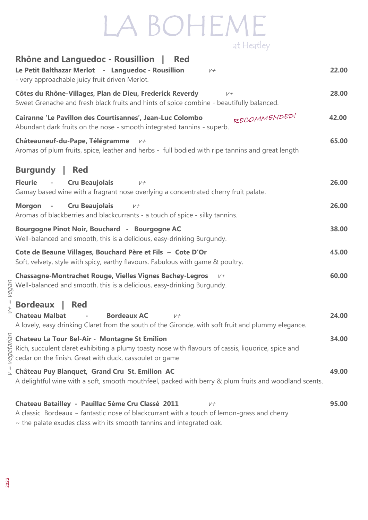|                | <b>Rhône and Languedoc - Rousillion</b>  <br><b>Red</b><br>Le Petit Balthazar Merlot - Languedoc - Rousillion<br>$V +$<br>- very approachable juicy fruit driven Merlot.                                                                                                                                            | 22.00 |
|----------------|---------------------------------------------------------------------------------------------------------------------------------------------------------------------------------------------------------------------------------------------------------------------------------------------------------------------|-------|
|                | Côtes du Rhône-Villages, Plan de Dieu, Frederick Reverdy<br>$V +$<br>Sweet Grenache and fresh black fruits and hints of spice combine - beautifully balanced.                                                                                                                                                       | 28.00 |
|                | RECOMMENDED!<br>Cairanne 'Le Pavillon des Courtisannes', Jean-Luc Colombo<br>Abundant dark fruits on the nose - smooth integrated tannins - superb.                                                                                                                                                                 | 42.00 |
|                | Châteauneuf-du-Pape, Télégramme<br>$V +$<br>Aromas of plum fruits, spice, leather and herbs - full bodied with ripe tannins and great length                                                                                                                                                                        | 65.00 |
|                | <b>Burgundy</b>  <br><b>Red</b>                                                                                                                                                                                                                                                                                     |       |
|                | <b>Cru Beaujolais</b><br><b>Fleurie</b><br>$\sim$ $-$<br>$V +$<br>Gamay based wine with a fragrant nose overlying a concentrated cherry fruit palate.                                                                                                                                                               | 26.00 |
|                | <b>Cru Beaujolais</b><br><b>Morgon</b><br>$\sim$ $-$<br>$V +$<br>Aromas of blackberries and blackcurrants - a touch of spice - silky tannins.                                                                                                                                                                       | 26.00 |
|                | Bourgogne Pinot Noir, Bouchard - Bourgogne AC<br>Well-balanced and smooth, this is a delicious, easy-drinking Burgundy.                                                                                                                                                                                             | 38.00 |
|                | Cote de Beaune Villages, Bouchard Père et Fils ~ Cote D'Or<br>Soft, velvety, style with spicy, earthy flavours. Fabulous with game & poultry.                                                                                                                                                                       | 45.00 |
| vegan          | <b>Chassagne-Montrachet Rouge, Vielles Vignes Bachey-Legros</b><br>$V +$<br>Well-balanced and smooth, this is a delicious, easy-drinking Burgundy.                                                                                                                                                                  | 60.00 |
| $\overline{+}$ | <b>Bordeaux</b><br><b>Red</b><br><b>Bordeaux AC</b><br><b>Chateau Malbat</b><br>$V +$<br>A lovely, easy drinking Claret from the south of the Gironde, with soft fruit and plummy elegance.                                                                                                                         | 24.00 |
|                | <b>Chateau La Tour Bel-Air - Montagne St Emilion</b><br>$\frac{15}{20}$ Rich, succulent claret exhibiting a plumy toasty nose wit<br>$\frac{15}{20}$ cedar on the finish. Great with duck, cassoulet or game<br>Rich, succulent claret exhibiting a plumy toasty nose with flavours of cassis, liquorice, spice and | 34.00 |
|                | $\frac{1}{2}$ Château Puy Blanquet, Grand Cru St. Emilion AC<br>A delightful wine with a soft, smooth mouthfeel, packed with berry & plum fruits and woodland scents.                                                                                                                                               | 49.00 |
|                | Chateau Batailley - Pauillac 5ème Cru Classé 2011<br>$V +$<br>A classic Bordeaux ~ fantastic nose of blackcurrant with a touch of lemon-grass and cherry                                                                                                                                                            | 95.00 |

 $\sim$  the palate exudes class with its smooth tannins and integrated oak.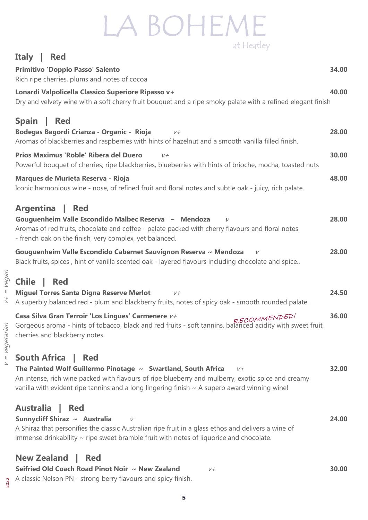#### Italy | Red

| <b>Primitivo 'Doppio Passo' Salento</b><br>Rich ripe cherries, plums and notes of cocoa                                                                                                                                                                                                                                     | 34.00 |
|-----------------------------------------------------------------------------------------------------------------------------------------------------------------------------------------------------------------------------------------------------------------------------------------------------------------------------|-------|
| Lonardi Valpolicella Classico Superiore Ripasso v+<br>Dry and velvety wine with a soft cherry fruit bouquet and a ripe smoky palate with a refined elegant finish                                                                                                                                                           | 40.00 |
| <b>Spain</b><br><b>Red</b><br>Bodegas Bagordi Crianza - Organic - Rioja<br>$V +$<br>Aromas of blackberries and raspberries with hints of hazelnut and a smooth vanilla filled finish.                                                                                                                                       | 28.00 |
| Prios Maximus 'Roble' Ribera del Duero<br>$V +$<br>Powerful bouquet of cherries, ripe blackberries, blueberries with hints of brioche, mocha, toasted nuts                                                                                                                                                                  | 30.00 |
| <b>Marques de Murieta Reserva - Rioja</b><br>Iconic harmonious wine - nose, of refined fruit and floral notes and subtle oak - juicy, rich palate.                                                                                                                                                                          | 48.00 |
| <b>Argentina</b><br><b>Red</b><br>$\perp$<br>Gouguenheim Valle Escondido Malbec Reserva ~ Mendoza<br>$\vee$<br>Aromas of red fruits, chocolate and coffee - palate packed with cherry flavours and floral notes<br>- french oak on the finish, very complex, yet balanced.                                                  | 28.00 |
| Gouguenheim Valle Escondido Cabernet Sauvignon Reserva ~ Mendoza<br>$\vee$<br>Black fruits, spices, hint of vanilla scented oak - layered flavours including chocolate and spice                                                                                                                                            | 28.00 |
| <b>Chile</b><br><b>Red</b><br><b>Miguel Torres Santa Digna Reserve Merlot</b><br>$V +$<br>A superbly balanced red - plum and blackberry fruits, notes of spicy oak - smooth rounded palate.                                                                                                                                 | 24.50 |
| Casa Silva Gran Terroir 'Los Lingues' Carmenere V+<br>RECOMMENDED!<br>Gorgeous aroma - hints of tobacco, black and red fruits - soft tannins, balanced acidity with sweet fruit,<br>cherries and blackberry notes.                                                                                                          | 36.00 |
| <b>South Africa</b><br><b>Red</b><br>The Painted Wolf Guillermo Pinotage $\sim$ Swartland, South Africa<br>$V +$<br>An intense, rich wine packed with flavours of ripe blueberry and mulberry, exotic spice and creamy<br>vanilla with evident ripe tannins and a long lingering finish $\sim$ A superb award winning wine! | 32.00 |
| <b>Australia</b><br><b>Red</b><br>Sunnycliff Shiraz ~ Australia<br>V<br>A Shiraz that personifies the classic Australian ripe fruit in a glass ethos and delivers a wine of<br>immense drinkability $\sim$ ripe sweet bramble fruit with notes of liquorice and chocolate.                                                  | 24.00 |
| <b>New Zealand</b><br><b>Red</b><br>Seifried Old Coach Road Pinot Noir ~ New Zealand<br>$V +$<br>A classic Nelson PN - strong berry flavours and spicy finish.                                                                                                                                                              | 30.00 |

 $V + = Vegan$ 

2022